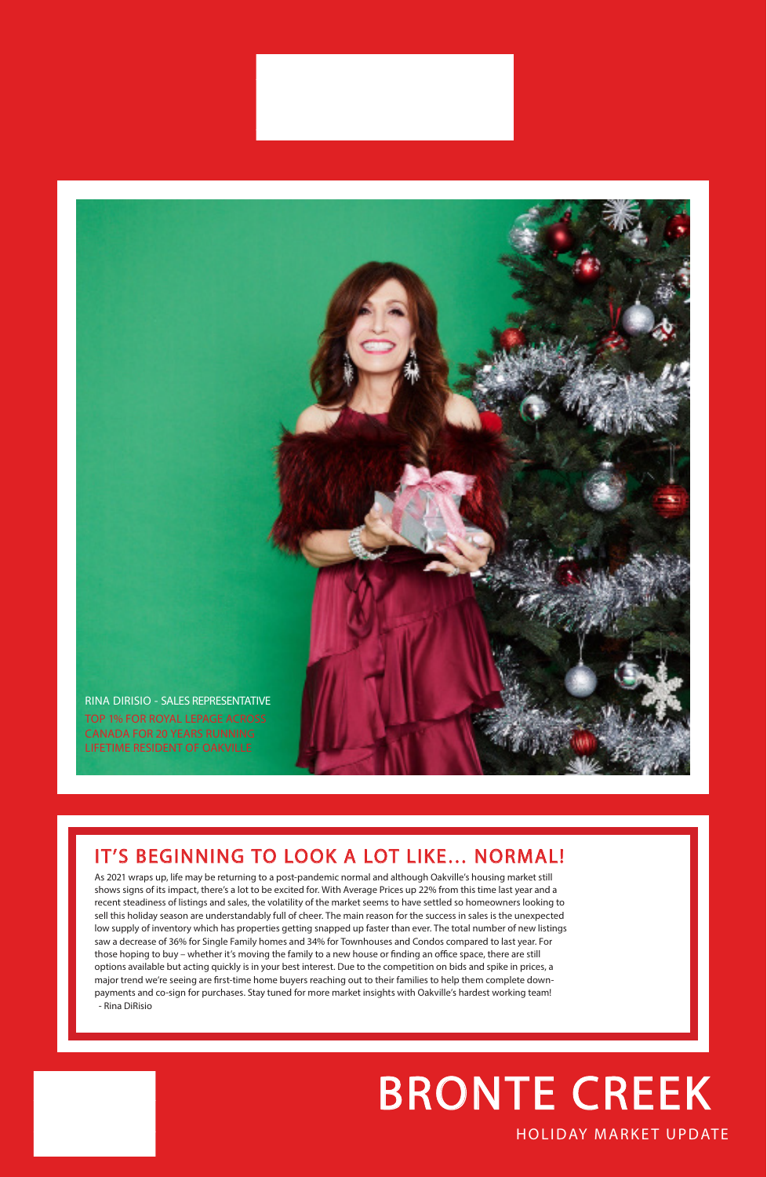

As 2021 wraps up, life may be returning to a post-pandemic normal and although Oakville's housing market still shows signs of its impact, there's a lot to be excited for. With Average Prices up 22% from this time last year and a recent steadiness of listings and sales, the volatility of the market seems to have settled so homeowners looking to sell this holiday season are understandably full of cheer. The main reason for the success in sales is the unexpected low supply of inventory which has properties getting snapped up faster than ever. The total number of new listings saw a decrease of 36% for Single Family homes and 34% for Townhouses and Condos compared to last year. For those hoping to buy – whether it's moving the family to a new house or finding an office space, there are still options available but acting quickly is in your best interest. Due to the competition on bids and spike in prices, a major trend we're seeing are first-time home buyers reaching out to their families to help them complete downpayments and co-sign for purchases. Stay tuned for more market insights with Oakville's hardest working team! - Rina DiRisio

### IT'S BEGINNING TO LOOK A LOT LIKE… NORMAL!

#### HOLIDAY MARKET UPDATE

# BRONTE CREEK